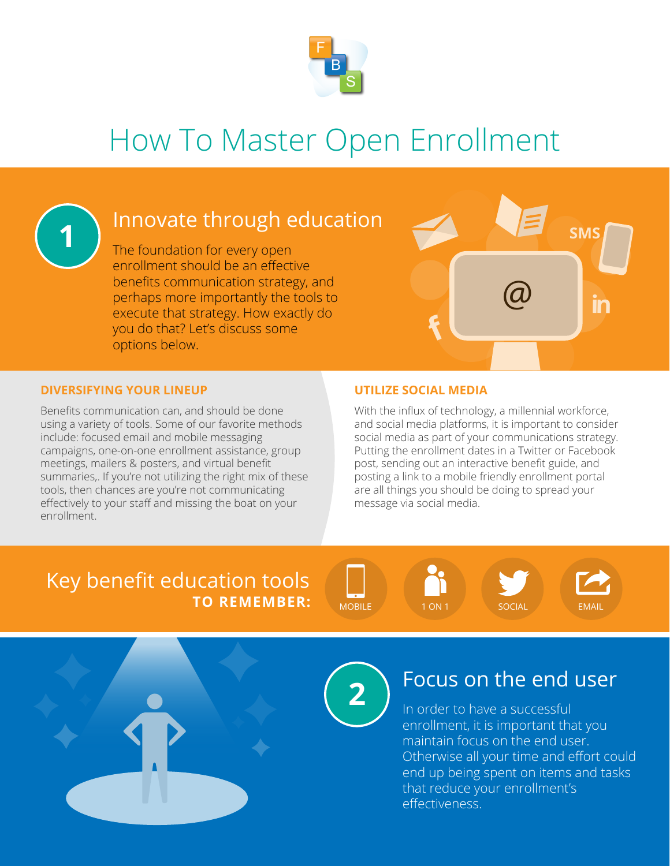

# How To Master Open Enrollment



## Innovate through education

The foundation for every open enrollment should be an effective benefits communication strategy, and perhaps more importantly the tools to execute that strategy. How exactly do you do that? Let's discuss some options below.



#### **DIVERSIFYING YOUR LINEUP UTILIZE SOCIAL MEDIA**

Benefits communication can, and should be done using a variety of tools. Some of our favorite methods include: focused email and mobile messaging campaigns, one-on-one enrollment assistance, group meetings, mailers & posters, and virtual benefit summaries,. If you're not utilizing the right mix of these tools, then chances are you're not communicating effectively to your staff and missing the boat on your enrollment.

With the influx of technology, a millennial workforce, and social media platforms, it is important to consider social media as part of your communications strategy. Putting the enrollment dates in a Twitter or Facebook post, sending out an interactive benefit guide, and posting a link to a mobile friendly enrollment portal are all things you should be doing to spread your message via social media.

#### Key benefit education tools **TO REMEMBER:** MOBILE 1 ON 1 SOCIAL EMAIL







## Focus on the end user

In order to have a successful enrollment, it is important that you maintain focus on the end user. Otherwise all your time and effort could end up being spent on items and tasks that reduce your enrollment's effectiveness.